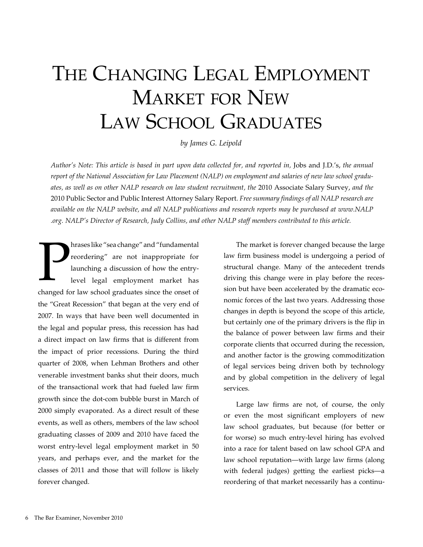# THE CHANGING LEGAL EMPLOYMENT MARKET FOR NEW LAW SCHOOL GRADUATES

*by James G. Leipold*

*Author's Note: This article is based in part upon data collected for, and reported in,* Jobs and J.D.'s, *the annual report of the National Association for Law Placement (NALP) on employment and salaries of new law school graduates, as well as on other NALP research on law student recruitment, the* 2010 Associate Salary Survey, *and the*  2010 Public Sector and Public Interest Attorney Salary Report. *Free summary findings of all NALP research are available on the NALP website, and all NALP publications and research reports may be purchased at www.NALP .org. NALP's Director of Research, Judy Collins, and other NALP staff members contributed to this article.*

P<br>change for hrases like "sea change" and "fundamental reordering" are not inappropriate for launching a discussion of how the entrylevel legal employment market has changed for law school graduates since the onset of the "Great Recession" that began at the very end of 2007. In ways that have been well documented in the legal and popular press, this recession has had a direct impact on law firms that is different from the impact of prior recessions. During the third quarter of 2008, when Lehman Brothers and other venerable investment banks shut their doors, much of the transactional work that had fueled law firm growth since the dot-com bubble burst in March of 2000 simply evaporated. As a direct result of these events, as well as others, members of the law school graduating classes of 2009 and 2010 have faced the worst entry-level legal employment market in 50 years, and perhaps ever, and the market for the classes of 2011 and those that will follow is likely forever changed.

The market is forever changed because the large law firm business model is undergoing a period of structural change. Many of the antecedent trends driving this change were in play before the recession but have been accelerated by the dramatic economic forces of the last two years. Addressing those changes in depth is beyond the scope of this article, but certainly one of the primary drivers is the flip in the balance of power between law firms and their corporate clients that occurred during the recession, and another factor is the growing commoditization of legal services being driven both by technology and by global competition in the delivery of legal services.

Large law firms are not, of course, the only or even the most significant employers of new law school graduates, but because (for better or for worse) so much entry-level hiring has evolved into a race for talent based on law school GPA and law school reputation—with large law firms (along with federal judges) getting the earliest picks—a reordering of that market necessarily has a continu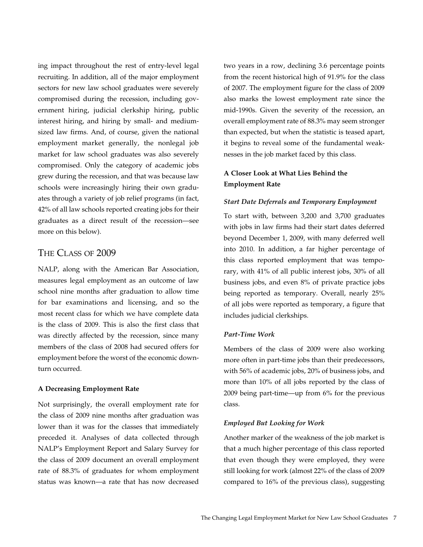ing impact throughout the rest of entry-level legal recruiting. In addition, all of the major employment sectors for new law school graduates were severely compromised during the recession, including government hiring, judicial clerkship hiring, public interest hiring, and hiring by small- and mediumsized law firms. And, of course, given the national employment market generally, the nonlegal job market for law school graduates was also severely compromised. Only the category of academic jobs grew during the recession, and that was because law schools were increasingly hiring their own graduates through a variety of job relief programs (in fact, 42% of all law schools reported creating jobs for their graduates as a direct result of the recession—see more on this below).

# The Class of 2009

NALP, along with the American Bar Association, measures legal employment as an outcome of law school nine months after graduation to allow time for bar examinations and licensing, and so the most recent class for which we have complete data is the class of 2009. This is also the first class that was directly affected by the recession, since many members of the class of 2008 had secured offers for employment before the worst of the economic downturn occurred.

## **A Decreasing Employment Rate**

Not surprisingly, the overall employment rate for the class of 2009 nine months after graduation was lower than it was for the classes that immediately preceded it. Analyses of data collected through NALP's Employment Report and Salary Survey for the class of 2009 document an overall employment rate of 88.3% of graduates for whom employment status was known—a rate that has now decreased two years in a row, declining 3.6 percentage points from the recent historical high of 91.9% for the class of 2007. The employment figure for the class of 2009 also marks the lowest employment rate since the mid-1990s. Given the severity of the recession, an overall employment rate of 88.3% may seem stronger than expected, but when the statistic is teased apart, it begins to reveal some of the fundamental weaknesses in the job market faced by this class.

## **A Closer Look at What Lies Behind the Employment Rate**

#### *Start Date Deferrals and Temporary Employment*

To start with, between 3,200 and 3,700 graduates with jobs in law firms had their start dates deferred beyond December 1, 2009, with many deferred well into 2010. In addition, a far higher percentage of this class reported employment that was temporary, with 41% of all public interest jobs, 30% of all business jobs, and even 8% of private practice jobs being reported as temporary. Overall, nearly 25% of all jobs were reported as temporary, a figure that includes judicial clerkships.

## *Part-Time Work*

Members of the class of 2009 were also working more often in part-time jobs than their predecessors, with 56% of academic jobs, 20% of business jobs, and more than 10% of all jobs reported by the class of 2009 being part-time—up from 6% for the previous class.

#### *Employed But Looking for Work*

Another marker of the weakness of the job market is that a much higher percentage of this class reported that even though they were employed, they were still looking for work (almost 22% of the class of 2009 compared to 16% of the previous class), suggesting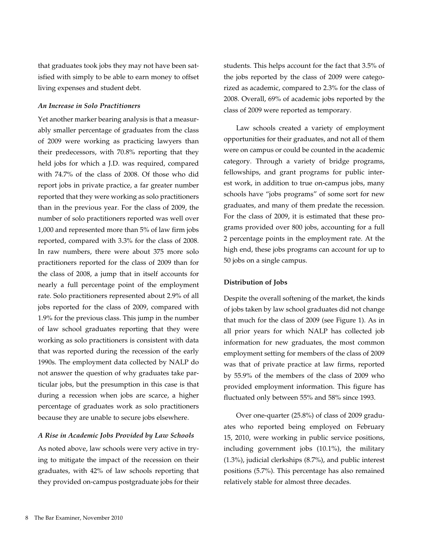that graduates took jobs they may not have been satisfied with simply to be able to earn money to offset living expenses and student debt.

## *An Increase in Solo Practitioners*

Yet another marker bearing analysis is that a measurably smaller percentage of graduates from the class of 2009 were working as practicing lawyers than their predecessors, with 70.8% reporting that they held jobs for which a J.D. was required, compared with 74.7% of the class of 2008. Of those who did report jobs in private practice, a far greater number reported that they were working as solo practitioners than in the previous year. For the class of 2009, the number of solo practitioners reported was well over 1,000 and represented more than 5% of law firm jobs reported, compared with 3.3% for the class of 2008. In raw numbers, there were about 375 more solo practitioners reported for the class of 2009 than for the class of 2008, a jump that in itself accounts for nearly a full percentage point of the employment rate. Solo practitioners represented about 2.9% of all jobs reported for the class of 2009, compared with 1.9% for the previous class. This jump in the number of law school graduates reporting that they were working as solo practitioners is consistent with data that was reported during the recession of the early 1990s. The employment data collected by NALP do not answer the question of why graduates take particular jobs, but the presumption in this case is that during a recession when jobs are scarce, a higher percentage of graduates work as solo practitioners because they are unable to secure jobs elsewhere.

#### *A Rise in Academic Jobs Provided by Law Schools*

As noted above, law schools were very active in trying to mitigate the impact of the recession on their graduates, with 42% of law schools reporting that they provided on-campus postgraduate jobs for their students. This helps account for the fact that 3.5% of the jobs reported by the class of 2009 were categorized as academic, compared to 2.3% for the class of 2008. Overall, 69% of academic jobs reported by the class of 2009 were reported as temporary.

Law schools created a variety of employment opportunities for their graduates, and not all of them were on campus or could be counted in the academic category. Through a variety of bridge programs, fellowships, and grant programs for public interest work, in addition to true on-campus jobs, many schools have "jobs programs" of some sort for new graduates, and many of them predate the recession. For the class of 2009, it is estimated that these programs provided over 800 jobs, accounting for a full 2 percentage points in the employment rate. At the high end, these jobs programs can account for up to 50 jobs on a single campus.

#### **Distribution of Jobs**

Despite the overall softening of the market, the kinds of jobs taken by law school graduates did not change that much for the class of 2009 (see Figure 1). As in all prior years for which NALP has collected job information for new graduates, the most common employment setting for members of the class of 2009 was that of private practice at law firms, reported by 55.9% of the members of the class of 2009 who provided employment information. This figure has fluctuated only between 55% and 58% since 1993.

Over one-quarter (25.8%) of class of 2009 graduates who reported being employed on February 15, 2010, were working in public service positions, including government jobs (10.1%), the military (1.3%), judicial clerkships (8.7%), and public interest positions (5.7%). This percentage has also remained relatively stable for almost three decades.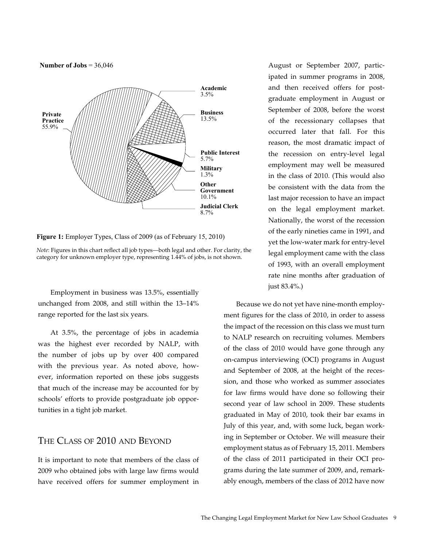

**Figure 1:** Employer Types, Class of 2009 (as of February 15, 2010)

*Note*: Figures in this chart reflect all job types—both legal and other. For clarity, the category for unknown employer type, representing 1.44% of jobs, is not shown.

Employment in business was 13.5%, essentially unchanged from 2008, and still within the 13–14% range reported for the last six years.

At 3.5%, the percentage of jobs in academia was the highest ever recorded by NALP, with the number of jobs up by over 400 compared with the previous year. As noted above, however, information reported on these jobs suggests that much of the increase may be accounted for by schools' efforts to provide postgraduate job opportunities in a tight job market.

# The Class of 2010 and Beyond

It is important to note that members of the class of 2009 who obtained jobs with large law firms would have received offers for summer employment in August or September 2007, participated in summer programs in 2008, and then received offers for postgraduate employment in August or September of 2008, before the worst of the recessionary collapses that occurred later that fall. For this reason, the most dramatic impact of the recession on entry-level legal employment may well be measured in the class of 2010. (This would also be consistent with the data from the last major recession to have an impact on the legal employment market. Nationally, the worst of the recession of the early nineties came in 1991, and yet the low-water mark for entry-level legal employment came with the class of 1993, with an overall employment rate nine months after graduation of just 83.4%.)

Because we do not yet have nine-month employment figures for the class of 2010, in order to assess the impact of the recession on this class we must turn to NALP research on recruiting volumes. Members of the class of 2010 would have gone through any on-campus interviewing (OCI) programs in August and September of 2008, at the height of the recession, and those who worked as summer associates for law firms would have done so following their second year of law school in 2009. These students graduated in May of 2010, took their bar exams in July of this year, and, with some luck, began working in September or October. We will measure their employment status as of February 15, 2011. Members of the class of 2011 participated in their OCI programs during the late summer of 2009, and, remarkably enough, members of the class of 2012 have now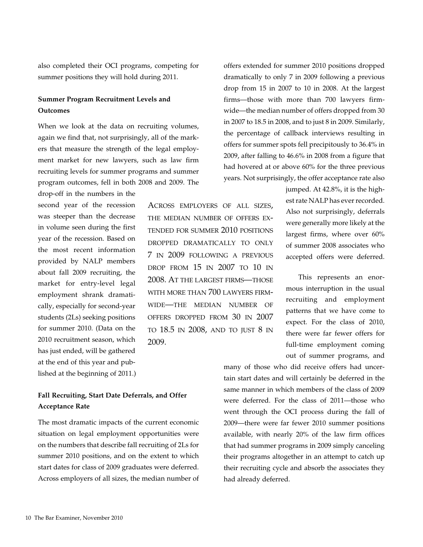also completed their OCI programs, competing for summer positions they will hold during 2011.

## **Summer Program Recruitment Levels and Outcomes**

When we look at the data on recruiting volumes, again we find that, not surprisingly, all of the markers that measure the strength of the legal employment market for new lawyers, such as law firm recruiting levels for summer programs and summer program outcomes, fell in both 2008 and 2009. The

drop-off in the numbers in the second year of the recession was steeper than the decrease in volume seen during the first year of the recession. Based on the most recent information provided by NALP members about fall 2009 recruiting, the market for entry-level legal employment shrank dramatically, especially for second-year students (2Ls) seeking positions for summer 2010. (Data on the 2010 recruitment season, which has just ended, will be gathered at the end of this year and published at the beginning of 2011.)

## **Fall Recruiting, Start Date Deferrals, and Offer Acceptance Rate**

The most dramatic impacts of the current economic situation on legal employment opportunities were on the numbers that describe fall recruiting of 2Ls for summer 2010 positions, and on the extent to which start dates for class of 2009 graduates were deferred. Across employers of all sizes, the median number of

Across employers of all sizes, the median number of offers extended for summer 2010 positions dropped dramatically to only 7 in 2009 following a previous drop from 15 in 2007 to 10 in 2008. At the largest firms—those with more than 700 lawyers firmwide—the median number of offers dropped from 30 in 2007 to 18.5 in 2008, and to just 8 in 2009.

offers extended for summer 2010 positions dropped dramatically to only 7 in 2009 following a previous drop from 15 in 2007 to 10 in 2008. At the largest firms—those with more than 700 lawyers firmwide—the median number of offers dropped from 30 in 2007 to 18.5 in 2008, and to just 8 in 2009. Similarly, the percentage of callback interviews resulting in offers for summer spots fell precipitously to 36.4% in 2009, after falling to 46.6% in 2008 from a figure that had hovered at or above 60% for the three previous years. Not surprisingly, the offer acceptance rate also

> jumped. At 42.8%, it is the highest rate NALP has ever recorded. Also not surprisingly, deferrals were generally more likely at the largest firms, where over 60% of summer 2008 associates who accepted offers were deferred.

> This represents an enormous interruption in the usual recruiting and employment patterns that we have come to expect. For the class of 2010, there were far fewer offers for full-time employment coming out of summer programs, and

many of those who did receive offers had uncertain start dates and will certainly be deferred in the same manner in which members of the class of 2009 were deferred. For the class of 2011—those who went through the OCI process during the fall of 2009—there were far fewer 2010 summer positions available, with nearly 20% of the law firm offices that had summer programs in 2009 simply canceling their programs altogether in an attempt to catch up their recruiting cycle and absorb the associates they had already deferred.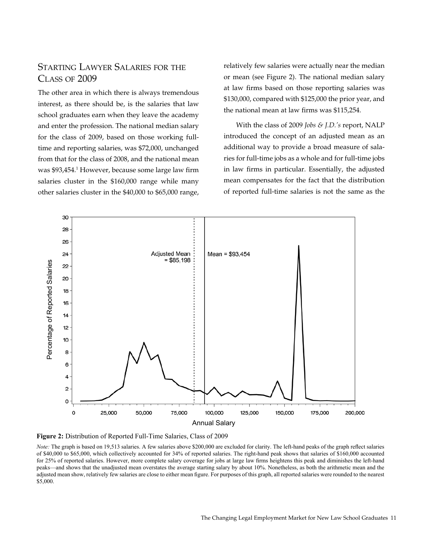# Starting Lawyer Salaries for the Class of 2009

The other area in which there is always tremendous interest, as there should be, is the salaries that law school graduates earn when they leave the academy and enter the profession. The national median salary for the class of 2009, based on those working fulltime and reporting salaries, was \$72,000, unchanged from that for the class of 2008, and the national mean was \$93,454.<sup>1</sup> However, because some large law firm salaries cluster in the \$160,000 range while many other salaries cluster in the \$40,000 to \$65,000 range,

relatively few salaries were actually near the median or mean (see Figure 2). The national median salary at law firms based on those reporting salaries was \$130,000, compared with \$125,000 the prior year, and the national mean at law firms was \$115,254.

With the class of 2009 *Jobs & J.D.'s* report, NALP introduced the concept of an adjusted mean as an additional way to provide a broad measure of salaries for full-time jobs as a whole and for full-time jobs in law firms in particular. Essentially, the adjusted mean compensates for the fact that the distribution of reported full-time salaries is not the same as the



**Figure 2:** Distribution of Reported Full-Time Salaries, Class of 2009

*Note:* The graph is based on 19,513 salaries. A few salaries above \$200,000 are excluded for clarity. The left-hand peaks of the graph reflect salaries of \$40,000 to \$65,000, which collectively accounted for 34% of reported salaries. The right-hand peak shows that salaries of \$160,000 accounted for 25% of reported salaries. However, more complete salary coverage for jobs at large law firms heightens this peak and diminishes the left-hand peaks—and shows that the unadjusted mean overstates the average starting salary by about 10%. Nonetheless, as both the arithmetic mean and the adjusted mean show, relatively few salaries are close to either mean figure. For purposes of this graph, all reported salaries were rounded to the nearest \$5,000.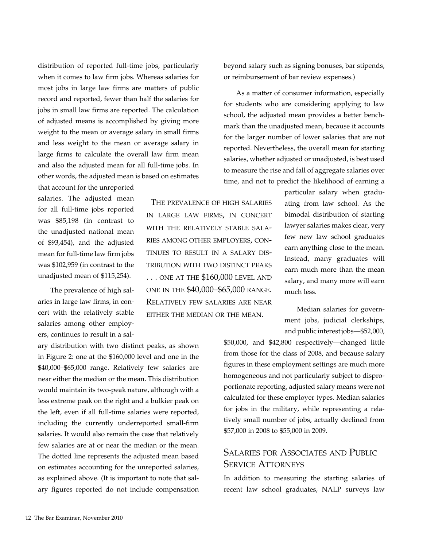distribution of reported full-time jobs, particularly when it comes to law firm jobs. Whereas salaries for most jobs in large law firms are matters of public record and reported, fewer than half the salaries for jobs in small law firms are reported. The calculation of adjusted means is accomplished by giving more weight to the mean or average salary in small firms and less weight to the mean or average salary in large firms to calculate the overall law firm mean and also the adjusted mean for all full-time jobs. In other words, the adjusted mean is based on estimates

that account for the unreported salaries. The adjusted mean for all full-time jobs reported was \$85,198 (in contrast to the unadjusted national mean of \$93,454), and the adjusted mean for full-time law firm jobs was \$102,959 (in contrast to the unadjusted mean of \$115,254).

The prevalence of high salaries in large law firms, in concert with the relatively stable salaries among other employers, continues to result in a sal-

ary distribution with two distinct peaks, as shown in Figure 2: one at the \$160,000 level and one in the \$40,000–\$65,000 range. Relatively few salaries are near either the median or the mean. This distribution would maintain its two-peak nature, although with a less extreme peak on the right and a bulkier peak on the left, even if all full-time salaries were reported, including the currently underreported small-firm salaries. It would also remain the case that relatively few salaries are at or near the median or the mean. The dotted line represents the adjusted mean based on estimates accounting for the unreported salaries, as explained above. (It is important to note that salary figures reported do not include compensation

 The prevalence of high salaries in large law firms, in concert with the relatively stable salaries among other employers, continues to result in a salary distribution with two distinct peaks ... ONE AT THE \$160,000 LEVEL AND one in the \$40,000–\$65,000 range. Relatively few salaries are near either the median or the mean.

beyond salary such as signing bonuses, bar stipends, or reimbursement of bar review expenses.)

As a matter of consumer information, especially for students who are considering applying to law school, the adjusted mean provides a better benchmark than the unadjusted mean, because it accounts for the larger number of lower salaries that are not reported. Nevertheless, the overall mean for starting salaries, whether adjusted or unadjusted, is best used to measure the rise and fall of aggregate salaries over time, and not to predict the likelihood of earning a

> particular salary when graduating from law school. As the bimodal distribution of starting lawyer salaries makes clear, very few new law school graduates earn anything close to the mean. Instead, many graduates will earn much more than the mean salary, and many more will earn much less.

Median salaries for government jobs, judicial clerkships, and public interest jobs—\$52,000,

\$50,000, and \$42,800 respectively—changed little from those for the class of 2008, and because salary figures in these employment settings are much more homogeneous and not particularly subject to disproportionate reporting, adjusted salary means were not calculated for these employer types. Median salaries for jobs in the military, while representing a relatively small number of jobs, actually declined from \$57,000 in 2008 to \$55,000 in 2009.

# Salaries for Associates and Public SERVICE ATTORNEYS

In addition to measuring the starting salaries of recent law school graduates, NALP surveys law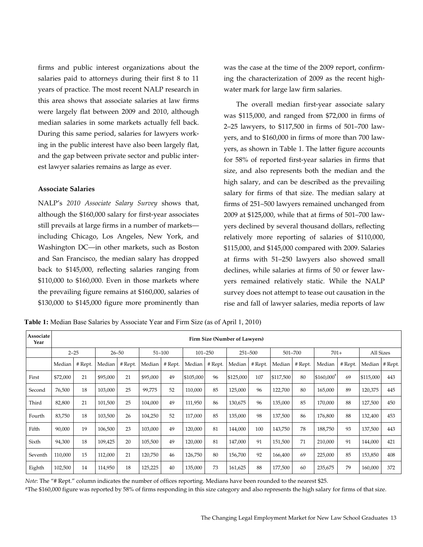firms and public interest organizations about the salaries paid to attorneys during their first 8 to 11 years of practice. The most recent NALP research in this area shows that associate salaries at law firms were largely flat between 2009 and 2010, although median salaries in some markets actually fell back. During this same period, salaries for lawyers working in the public interest have also been largely flat, and the gap between private sector and public interest lawyer salaries remains as large as ever.

#### **Associate Salaries**

NALP's *2010 Associate Salary Survey* shows that, although the \$160,000 salary for first-year associates still prevails at large firms in a number of markets including Chicago, Los Angeles, New York, and Washington DC—in other markets, such as Boston and San Francisco, the median salary has dropped back to \$145,000, reflecting salaries ranging from \$110,000 to \$160,000. Even in those markets where the prevailing figure remains at \$160,000, salaries of \$130,000 to \$145,000 figure more prominently than was the case at the time of the 2009 report, confirming the characterization of 2009 as the recent highwater mark for large law firm salaries.

The overall median first-year associate salary was \$115,000, and ranged from \$72,000 in firms of 2–25 lawyers, to \$117,500 in firms of 501–700 lawyers, and to \$160,000 in firms of more than 700 lawyers, as shown in Table 1. The latter figure accounts for 58% of reported first-year salaries in firms that size, and also represents both the median and the high salary, and can be described as the prevailing salary for firms of that size. The median salary at firms of 251–500 lawyers remained unchanged from 2009 at \$125,000, while that at firms of 501–700 lawyers declined by several thousand dollars, reflecting relatively more reporting of salaries of \$110,000, \$115,000, and \$145,000 compared with 2009. Salaries at firms with 51–250 lawyers also showed small declines, while salaries at firms of 50 or fewer lawyers remained relatively static. While the NALP survey does not attempt to tease out causation in the rise and fall of lawyer salaries, media reports of law

**Table 1:** Median Base Salaries by Associate Year and Firm Size (as of April 1, 2010)

| Associate<br>Year | Firm Size (Number of Lawyers) |         |           |         |            |         |             |         |           |         |           |         |              |         |           |                    |
|-------------------|-------------------------------|---------|-----------|---------|------------|---------|-------------|---------|-----------|---------|-----------|---------|--------------|---------|-----------|--------------------|
|                   | $2 - 25$                      |         | $26 - 50$ |         | $51 - 100$ |         | $101 - 250$ |         | 251-500   |         | 501-700   |         | $701+$       |         | All Sizes |                    |
|                   | Median                        | # Rept. | Median    | # Rept. | Median     | # Rept. | Median      | # Rept. | Median    | # Rept. | Median    | # Rept. | Median       | # Rept. |           | Median $ $ # Rept. |
| First             | \$72,000                      | 21      | \$95,000  | 21      | \$95,000   | 49      | \$105,000   | 96      | \$125,000 | 107     | \$117,500 | 80      | $$160,000^a$ | 69      | \$115,000 | 443                |
| Second            | 76,500                        | 18      | 103,000   | 25      | 99,775     | 52      | 110,000     | 85      | 125,000   | 96      | 122,700   | 80      | 165,000      | 89      | 120,375   | 445                |
| Third             | 82,800                        | 21      | 101,500   | 25      | 104,000    | 49      | 111,950     | 86      | 130,675   | 96      | 135,000   | 85      | 170,000      | 88      | 127,500   | 450                |
| Fourth            | 83,750                        | 18      | 103,500   | 26      | 104,250    | 52      | 117,000     | 85      | 135,000   | 98      | 137,500   | 86      | 176,800      | 88      | 132,400   | 453                |
| Fifth             | 90,000                        | 19      | 106,500   | 23      | 103,000    | 49      | 120,000     | 81      | 144,000   | 100     | 143,750   | 78      | 188,750      | 93      | 137,500   | 443                |
| Sixth             | 94,300                        | 18      | 109,425   | 20      | 105,500    | 49      | 120,000     | 81      | 147,000   | 91      | 151,500   | 71      | 210,000      | 91      | 144,000   | 421                |
| Seventh           | 110,000                       | 15      | 112,000   | 21      | 120,750    | 46      | 126,750     | 80      | 156,700   | 92      | 166,400   | 69      | 225,000      | 85      | 153,850   | 408                |
| Eighth            | 102,500                       | 14      | 114,950   | 18      | 125,225    | 40      | 135,000     | 73      | 161,625   | 88      | 177,500   | 60      | 235,675      | 79      | 160,000   | 372                |

*Note*: The "# Rept." column indicates the number of offices reporting. Medians have been rounded to the nearest \$25.

<sup>a</sup>The \$160,000 figure was reported by 58% of firms responding in this size category and also represents the high salary for firms of that size.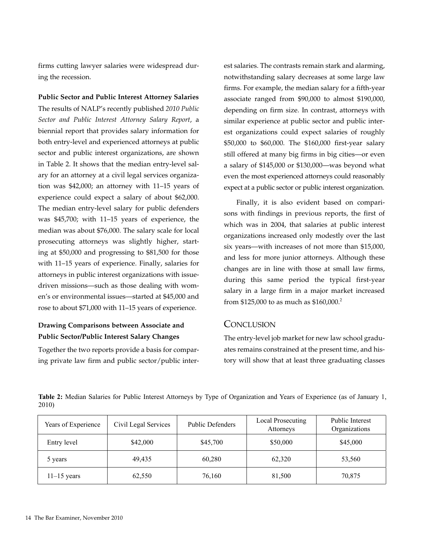firms cutting lawyer salaries were widespread during the recession.

**Public Sector and Public Interest Attorney Salaries** The results of NALP's recently published *2010 Public Sector and Public Interest Attorney Salary Report*, a biennial report that provides salary information for both entry-level and experienced attorneys at public sector and public interest organizations, are shown in Table 2. It shows that the median entry-level salary for an attorney at a civil legal services organization was \$42,000; an attorney with 11–15 years of experience could expect a salary of about \$62,000. The median entry-level salary for public defenders was \$45,700; with 11–15 years of experience, the median was about \$76,000. The salary scale for local prosecuting attorneys was slightly higher, starting at \$50,000 and progressing to \$81,500 for those with 11–15 years of experience. Finally, salaries for attorneys in public interest organizations with issuedriven missions—such as those dealing with women's or environmental issues—started at \$45,000 and rose to about \$71,000 with 11–15 years of experience.

## **Drawing Comparisons between Associate and Public Sector/Public Interest Salary Changes**

Together the two reports provide a basis for comparing private law firm and public sector/public interest salaries. The contrasts remain stark and alarming, notwithstanding salary decreases at some large law firms. For example, the median salary for a fifth-year associate ranged from \$90,000 to almost \$190,000, depending on firm size. In contrast, attorneys with similar experience at public sector and public interest organizations could expect salaries of roughly \$50,000 to \$60,000. The \$160,000 first-year salary still offered at many big firms in big cities—or even a salary of \$145,000 or \$130,000—was beyond what even the most experienced attorneys could reasonably expect at a public sector or public interest organization.

Finally, it is also evident based on comparisons with findings in previous reports, the first of which was in 2004, that salaries at public interest organizations increased only modestly over the last six years—with increases of not more than \$15,000, and less for more junior attorneys. Although these changes are in line with those at small law firms, during this same period the typical first-year salary in a large firm in a major market increased from \$125,000 to as much as \$160,000.<sup>2</sup>

## Conclusion

The entry-level job market for new law school graduates remains constrained at the present time, and history will show that at least three graduating classes

| Years of Experience | Civil Legal Services | <b>Public Defenders</b> | Local Prosecuting<br>Attorneys | Public Interest<br>Organizations |
|---------------------|----------------------|-------------------------|--------------------------------|----------------------------------|
| Entry level         | \$42,000             | \$45,700                | \$50,000                       | \$45,000                         |
| 5 years             | 49,435               | 60,280                  | 62,320                         | 53,560                           |
| $11-15$ years       | 62,550               | 76,160                  | 81,500                         | 70,875                           |

**Table 2:** Median Salaries for Public Interest Attorneys by Type of Organization and Years of Experience (as of January 1, 2010)